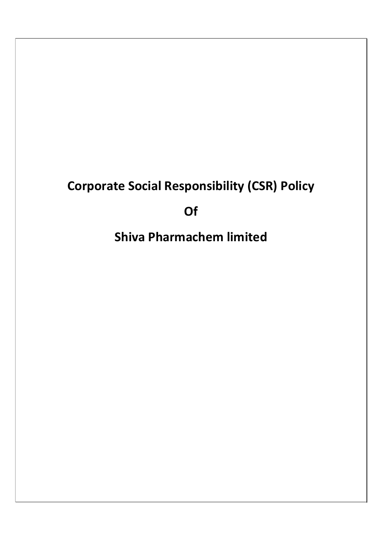# Corporate Social Responsibility (CSR) Policy

Of

Shiva Pharmachem limited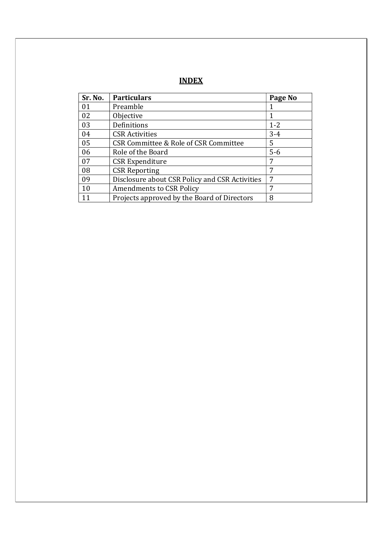| Sr. No. | <b>Particulars</b>                             | Page No |
|---------|------------------------------------------------|---------|
| 01      | Preamble                                       |         |
| 02      | Objective                                      | 1       |
| 03      | Definitions                                    | $1 - 2$ |
| 04      | <b>CSR Activities</b>                          | $3 - 4$ |
| 05      | CSR Committee & Role of CSR Committee          | 5       |
| 06      | Role of the Board                              | $5-6$   |
| 07      | <b>CSR Expenditure</b>                         | 7       |
| 08      | <b>CSR Reporting</b>                           | 7       |
| 09      | Disclosure about CSR Policy and CSR Activities | 7       |
| 10      | <b>Amendments to CSR Policy</b>                | 7       |
| 11      | Projects approved by the Board of Directors    | 8       |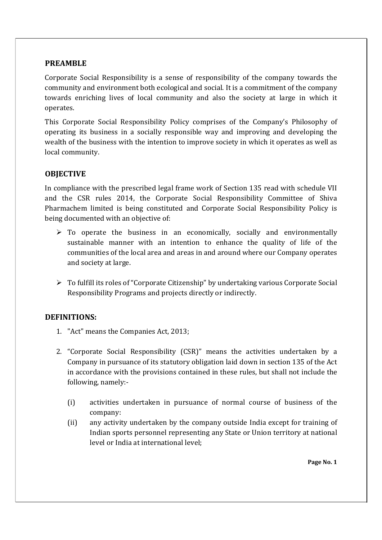## PREAMBLE

Corporate Social Responsibility is a sense of responsibility of the company towards the community and environment both ecological and social. It is a commitment of the company towards enriching lives of local community and also the society at large in which it operates.

This Corporate Social Responsibility Policy comprises of the Company's Philosophy of operating its business in a socially responsible way and improving and developing the wealth of the business with the intention to improve society in which it operates as well as local community.

# **OBJECTIVE**

In compliance with the prescribed legal frame work of Section 135 read with schedule VII and the CSR rules 2014, the Corporate Social Responsibility Committee of Shiva Pharmachem limited is being constituted and Corporate Social Responsibility Policy is being documented with an objective of:

- $\triangleright$  To operate the business in an economically, socially and environmentally sustainable manner with an intention to enhance the quality of life of the communities of the local area and areas in and around where our Company operates and society at large.
- To fulfill its roles of "Corporate Citizenship" by undertaking various Corporate Social Responsibility Programs and projects directly or indirectly.

# DEFINITIONS:

- 1. "Act" means the Companies Act, 2013;
- 2. "Corporate Social Responsibility (CSR)" means the activities undertaken by a Company in pursuance of its statutory obligation laid down in section 135 of the Act in accordance with the provisions contained in these rules, but shall not include the following, namely:-
	- (i) activities undertaken in pursuance of normal course of business of the company:
	- (ii) any activity undertaken by the company outside India except for training of Indian sports personnel representing any State or Union territory at national level or India at international level;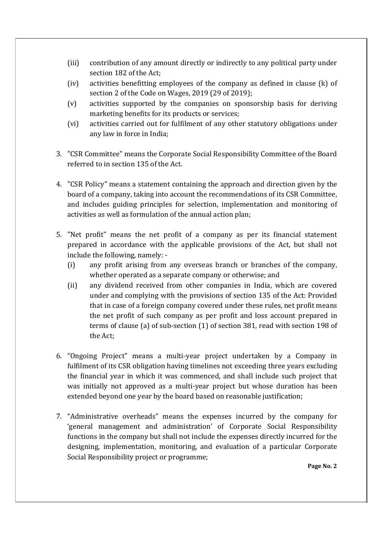- (iii) contribution of any amount directly or indirectly to any political party under section 182 of the Act;
- (iv) activities benefitting employees of the company as defined in clause (k) of section 2 of the Code on Wages, 2019 (29 of 2019);
- (v) activities supported by the companies on sponsorship basis for deriving marketing benefits for its products or services;
- (vi) activities carried out for fulfilment of any other statutory obligations under any law in force in India;
- 3. "CSR Committee" means the Corporate Social Responsibility Committee of the Board referred to in section 135 of the Act.
- 4. "CSR Policy" means a statement containing the approach and direction given by the board of a company, taking into account the recommendations of its CSR Committee, and includes guiding principles for selection, implementation and monitoring of activities as well as formulation of the annual action plan;
- 5. "Net profit" means the net profit of a company as per its financial statement prepared in accordance with the applicable provisions of the Act, but shall not include the following, namely: -
	- (i) any profit arising from any overseas branch or branches of the company, whether operated as a separate company or otherwise; and
	- (ii) any dividend received from other companies in India, which are covered under and complying with the provisions of section 135 of the Act: Provided that in case of a foreign company covered under these rules, net profit means the net profit of such company as per profit and loss account prepared in terms of clause (a) of sub-section (1) of section 381, read with section 198 of the Act;
- 6. "Ongoing Project" means a multi-year project undertaken by a Company in fulfilment of its CSR obligation having timelines not exceeding three years excluding the financial year in which it was commenced, and shall include such project that was initially not approved as a multi-year project but whose duration has been extended beyond one year by the board based on reasonable justification;
- 7. "Administrative overheads" means the expenses incurred by the company for 'general management and administration' of Corporate Social Responsibility functions in the company but shall not include the expenses directly incurred for the designing, implementation, monitoring, and evaluation of a particular Corporate Social Responsibility project or programme;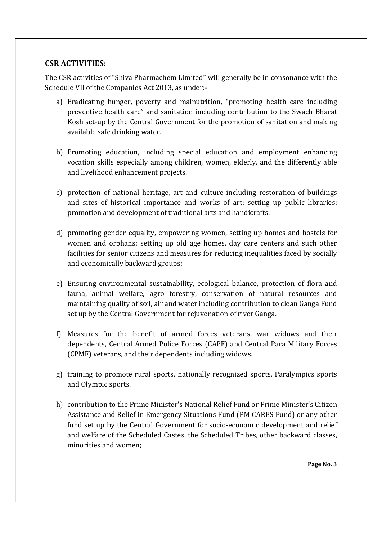## CSR ACTIVITIES:

The CSR activities of "Shiva Pharmachem Limited" will generally be in consonance with the Schedule VII of the Companies Act 2013, as under:-

- a) Eradicating hunger, poverty and malnutrition, "promoting health care including preventive health care" and sanitation including contribution to the Swach Bharat Kosh set-up by the Central Government for the promotion of sanitation and making available safe drinking water.
- b) Promoting education, including special education and employment enhancing vocation skills especially among children, women, elderly, and the differently able and livelihood enhancement projects.
- c) protection of national heritage, art and culture including restoration of buildings and sites of historical importance and works of art; setting up public libraries; promotion and development of traditional arts and handicrafts.
- d) promoting gender equality, empowering women, setting up homes and hostels for women and orphans; setting up old age homes, day care centers and such other facilities for senior citizens and measures for reducing inequalities faced by socially and economically backward groups;
- e) Ensuring environmental sustainability, ecological balance, protection of flora and fauna, animal welfare, agro forestry, conservation of natural resources and maintaining quality of soil, air and water including contribution to clean Ganga Fund set up by the Central Government for rejuvenation of river Ganga.
- f) Measures for the benefit of armed forces veterans, war widows and their dependents, Central Armed Police Forces (CAPF) and Central Para Military Forces (CPMF) veterans, and their dependents including widows.
- g) training to promote rural sports, nationally recognized sports, Paralympics sports and Olympic sports.
- h) contribution to the Prime Minister's National Relief Fund or Prime Minister's Citizen Assistance and Relief in Emergency Situations Fund (PM CARES Fund) or any other fund set up by the Central Government for socio-economic development and relief and welfare of the Scheduled Castes, the Scheduled Tribes, other backward classes, minorities and women;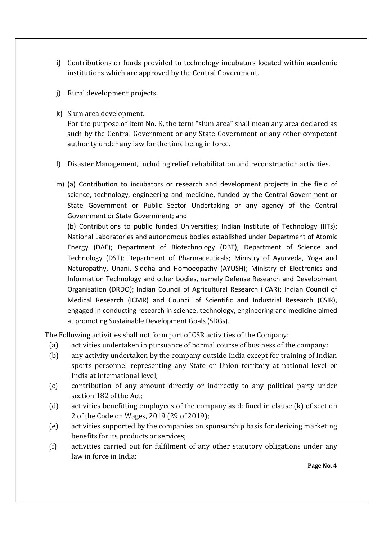- i) Contributions or funds provided to technology incubators located within academic institutions which are approved by the Central Government.
- j) Rural development projects.
- k) Slum area development.

For the purpose of Item No. K, the term "slum area" shall mean any area declared as such by the Central Government or any State Government or any other competent authority under any law for the time being in force.

l) Disaster Management, including relief, rehabilitation and reconstruction activities.

m) (a) Contribution to incubators or research and development projects in the field of science, technology, engineering and medicine, funded by the Central Government or State Government or Public Sector Undertaking or any agency of the Central Government or State Government; and

(b) Contributions to public funded Universities; Indian Institute of Technology (IITs); National Laboratories and autonomous bodies established under Department of Atomic Energy (DAE); Department of Biotechnology (DBT); Department of Science and Technology (DST); Department of Pharmaceuticals; Ministry of Ayurveda, Yoga and Naturopathy, Unani, Siddha and Homoeopathy (AYUSH); Ministry of Electronics and Information Technology and other bodies, namely Defense Research and Development Organisation (DRDO); Indian Council of Agricultural Research (ICAR); Indian Council of Medical Research (ICMR) and Council of Scientific and Industrial Research (CSIR), engaged in conducting research in science, technology, engineering and medicine aimed at promoting Sustainable Development Goals (SDGs).

The Following activities shall not form part of CSR activities of the Company:

- (a) activities undertaken in pursuance of normal course of business of the company:
- (b) any activity undertaken by the company outside India except for training of Indian sports personnel representing any State or Union territory at national level or India at international level;
- (c) contribution of any amount directly or indirectly to any political party under section 182 of the Act;
- (d) activities benefitting employees of the company as defined in clause (k) of section 2 of the Code on Wages, 2019 (29 of 2019);
- (e) activities supported by the companies on sponsorship basis for deriving marketing benefits for its products or services;
- (f) activities carried out for fulfilment of any other statutory obligations under any law in force in India;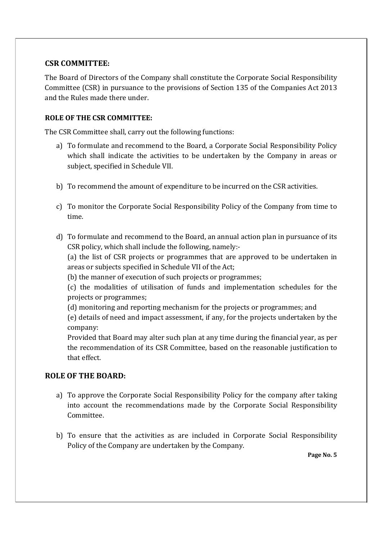## CSR COMMITTEE:

The Board of Directors of the Company shall constitute the Corporate Social Responsibility Committee (CSR) in pursuance to the provisions of Section 135 of the Companies Act 2013 and the Rules made there under.

### ROLE OF THE CSR COMMITTEE:

The CSR Committee shall, carry out the following functions:

- a) To formulate and recommend to the Board, a Corporate Social Responsibility Policy which shall indicate the activities to be undertaken by the Company in areas or subject, specified in Schedule VII.
- b) To recommend the amount of expenditure to be incurred on the CSR activities.
- c) To monitor the Corporate Social Responsibility Policy of the Company from time to time.
- d) To formulate and recommend to the Board, an annual action plan in pursuance of its CSR policy, which shall include the following, namely:-

(a) the list of CSR projects or programmes that are approved to be undertaken in areas or subjects specified in Schedule VII of the Act;

(b) the manner of execution of such projects or programmes;

(c) the modalities of utilisation of funds and implementation schedules for the projects or programmes;

(d) monitoring and reporting mechanism for the projects or programmes; and

(e) details of need and impact assessment, if any, for the projects undertaken by the company:

Provided that Board may alter such plan at any time during the financial year, as per the recommendation of its CSR Committee, based on the reasonable justification to that effect.

# ROLE OF THE BOARD:

- a) To approve the Corporate Social Responsibility Policy for the company after taking into account the recommendations made by the Corporate Social Responsibility Committee.
- b) To ensure that the activities as are included in Corporate Social Responsibility Policy of the Company are undertaken by the Company.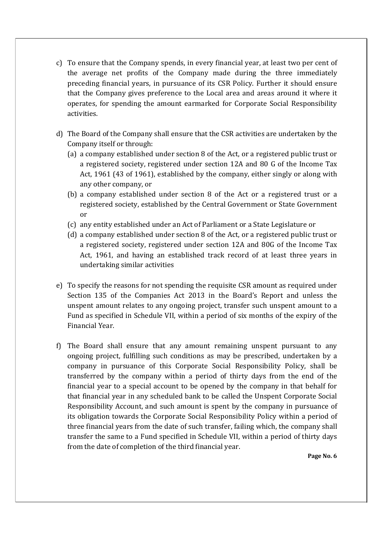- c) To ensure that the Company spends, in every financial year, at least two per cent of the average net profits of the Company made during the three immediately preceding financial years, in pursuance of its CSR Policy. Further it should ensure that the Company gives preference to the Local area and areas around it where it operates, for spending the amount earmarked for Corporate Social Responsibility activities.
- d) The Board of the Company shall ensure that the CSR activities are undertaken by the Company itself or through:
	- (a) a company established under section 8 of the Act, or a registered public trust or a registered society, registered under section 12A and 80 G of the Income Tax Act, 1961 (43 of 1961), established by the company, either singly or along with any other company, or
	- (b) a company established under section 8 of the Act or a registered trust or a registered society, established by the Central Government or State Government or
	- (c) any entity established under an Act of Parliament or a State Legislature or
	- (d) a company established under section 8 of the Act, or a registered public trust or a registered society, registered under section 12A and 80G of the Income Tax Act, 1961, and having an established track record of at least three years in undertaking similar activities
- e) To specify the reasons for not spending the requisite CSR amount as required under Section 135 of the Companies Act 2013 in the Board's Report and unless the unspent amount relates to any ongoing project, transfer such unspent amount to a Fund as specified in Schedule VII, within a period of six months of the expiry of the Financial Year.
- f) The Board shall ensure that any amount remaining unspent pursuant to any ongoing project, fulfilling such conditions as may be prescribed, undertaken by a company in pursuance of this Corporate Social Responsibility Policy, shall be transferred by the company within a period of thirty days from the end of the financial year to a special account to be opened by the company in that behalf for that financial year in any scheduled bank to be called the Unspent Corporate Social Responsibility Account, and such amount is spent by the company in pursuance of its obligation towards the Corporate Social Responsibility Policy within a period of three financial years from the date of such transfer, failing which, the company shall transfer the same to a Fund specified in Schedule VII, within a period of thirty days from the date of completion of the third financial year.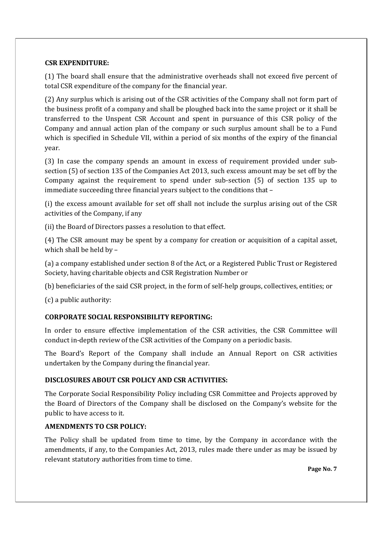#### CSR EXPENDITURE:

(1) The board shall ensure that the administrative overheads shall not exceed five percent of total CSR expenditure of the company for the financial year.

(2) Any surplus which is arising out of the CSR activities of the Company shall not form part of the business profit of a company and shall be ploughed back into the same project or it shall be transferred to the Unspent CSR Account and spent in pursuance of this CSR policy of the Company and annual action plan of the company or such surplus amount shall be to a Fund which is specified in Schedule VII, within a period of six months of the expiry of the financial year.

(3) In case the company spends an amount in excess of requirement provided under subsection (5) of section 135 of the Companies Act 2013, such excess amount may be set off by the Company against the requirement to spend under sub-section (5) of section 135 up to immediate succeeding three financial years subject to the conditions that –

(i) the excess amount available for set off shall not include the surplus arising out of the CSR activities of the Company, if any

(ii) the Board of Directors passes a resolution to that effect.

(4) The CSR amount may be spent by a company for creation or acquisition of a capital asset, which shall be held by –

(a) a company established under section 8 of the Act, or a Registered Public Trust or Registered Society, having charitable objects and CSR Registration Number or

(b) beneficiaries of the said CSR project, in the form of self-help groups, collectives, entities; or

(c) a public authority:

#### CORPORATE SOCIAL RESPONSIBILITY REPORTING:

In order to ensure effective implementation of the CSR activities, the CSR Committee will conduct in-depth review of the CSR activities of the Company on a periodic basis.

The Board's Report of the Company shall include an Annual Report on CSR activities undertaken by the Company during the financial year.

#### DISCLOSURES ABOUT CSR POLICY AND CSR ACTIVITIES:

The Corporate Social Responsibility Policy including CSR Committee and Projects approved by the Board of Directors of the Company shall be disclosed on the Company's website for the public to have access to it.

#### AMENDMENTS TO CSR POLICY:

The Policy shall be updated from time to time, by the Company in accordance with the amendments, if any, to the Companies Act, 2013, rules made there under as may be issued by relevant statutory authorities from time to time.